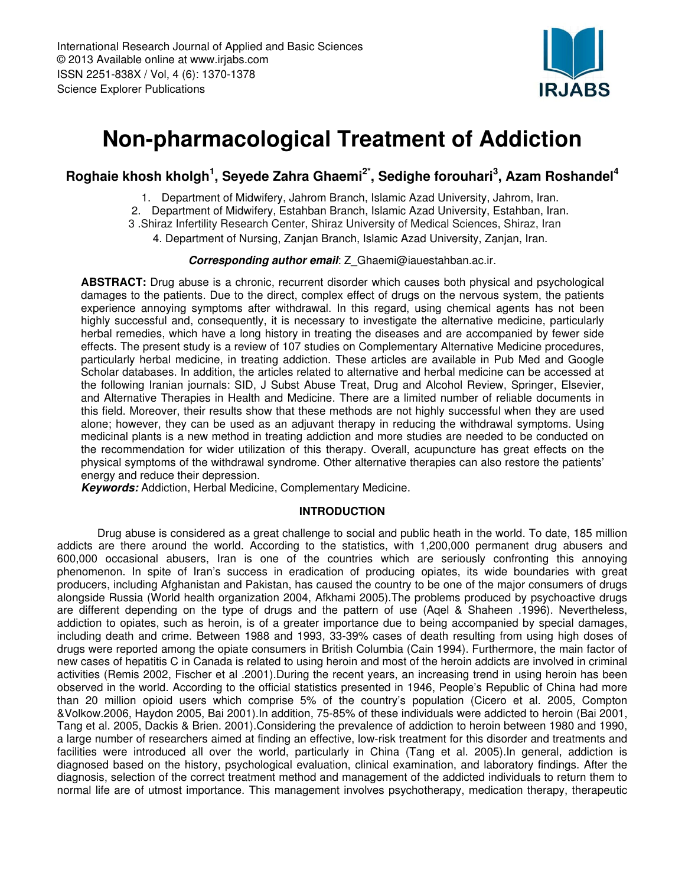

# Non-pharmacological Treatment of Addiction

## Roghaie khosh kholgh<sup>1</sup>, Seyede Zahra Ghaemi<sup>2\*</sup>, Sedighe forouhari<sup>3</sup>, Azam Roshandel<sup>4</sup>

1. Department of Midwifery, Jahrom Branch, Islamic Azad University, Jahrom, Iran.

- 2. Department of Midwifery, Estahban Branch, Islamic Azad University, Estahban, Iran.
- 3 .Shiraz Infertility Research Center, Shiraz University of Medical Sciences, Shiraz, Iran
	- 4. Department of Nursing, Zanjan Branch, Islamic Azad University, Zanjan, Iran.

#### Corresponding author email: Z Ghaemi@iauestahban.ac.ir.

ABSTRACT: Drug abuse is a chronic, recurrent disorder which causes both physical and psychological damages to the patients. Due to the direct, complex effect of drugs on the nervous system, the patients experience annoying symptoms after withdrawal. In this regard, using chemical agents has not been highly successful and, consequently, it is necessary to investigate the alternative medicine, particularly herbal remedies, which have a long history in treating the diseases and are accompanied by fewer side effects. The present study is a review of 107 studies on Complementary Alternative Medicine procedures, particularly herbal medicine, in treating addiction. These articles are available in Pub Med and Google Scholar databases. In addition, the articles related to alternative and herbal medicine can be accessed at the following Iranian journals: SID, J Subst Abuse Treat, Drug and Alcohol Review, Springer, Elsevier, and Alternative Therapies in Health and Medicine. There are a limited number of reliable documents in this field. Moreover, their results show that these methods are not highly successful when they are used alone; however, they can be used as an adjuvant therapy in reducing the withdrawal symptoms. Using medicinal plants is a new method in treating addiction and more studies are needed to be conducted on the recommendation for wider utilization of this therapy. Overall, acupuncture has great effects on the physical symptoms of the withdrawal syndrome. Other alternative therapies can also restore the patients' energy and reduce their depression.

Keywords: Addiction, Herbal Medicine, Complementary Medicine.

### INTRODUCTION

 Drug abuse is considered as a great challenge to social and public heath in the world. To date, 185 million addicts are there around the world. According to the statistics, with 1,200,000 permanent drug abusers and 600,000 occasional abusers, Iran is one of the countries which are seriously confronting this annoying phenomenon. In spite of Iran's success in eradication of producing opiates, its wide boundaries with great producers, including Afghanistan and Pakistan, has caused the country to be one of the major consumers of drugs alongside Russia (World health organization 2004, Afkhami 2005).The problems produced by psychoactive drugs are different depending on the type of drugs and the pattern of use (Aqel & Shaheen .1996). Nevertheless, addiction to opiates, such as heroin, is of a greater importance due to being accompanied by special damages, including death and crime. Between 1988 and 1993, 33-39% cases of death resulting from using high doses of drugs were reported among the opiate consumers in British Columbia (Cain 1994). Furthermore, the main factor of new cases of hepatitis C in Canada is related to using heroin and most of the heroin addicts are involved in criminal activities (Remis 2002, Fischer et al .2001).During the recent years, an increasing trend in using heroin has been observed in the world. According to the official statistics presented in 1946, People's Republic of China had more than 20 million opioid users which comprise 5% of the country's population (Cicero et al. 2005, Compton &Volkow.2006, Haydon 2005, Bai 2001).In addition, 75-85% of these individuals were addicted to heroin (Bai 2001, Tang et al. 2005, Dackis & Brien. 2001).Considering the prevalence of addiction to heroin between 1980 and 1990, a large number of researchers aimed at finding an effective, low-risk treatment for this disorder and treatments and facilities were introduced all over the world, particularly in China (Tang et al. 2005).In general, addiction is diagnosed based on the history, psychological evaluation, clinical examination, and laboratory findings. After the diagnosis, selection of the correct treatment method and management of the addicted individuals to return them to normal life are of utmost importance. This management involves psychotherapy, medication therapy, therapeutic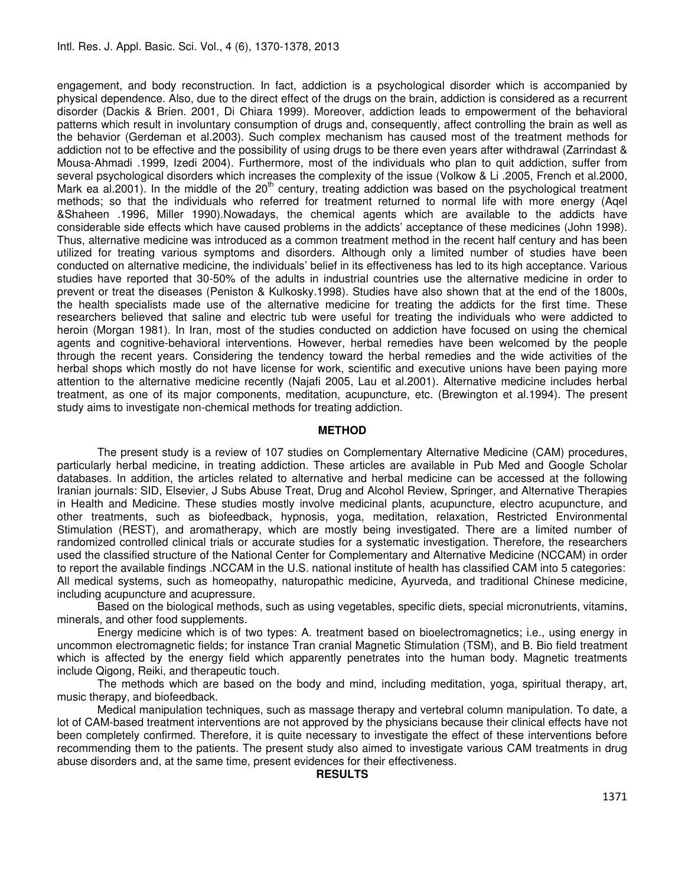engagement, and body reconstruction. In fact, addiction is a psychological disorder which is accompanied by physical dependence. Also, due to the direct effect of the drugs on the brain, addiction is considered as a recurrent disorder (Dackis & Brien. 2001, Di Chiara 1999). Moreover, addiction leads to empowerment of the behavioral patterns which result in involuntary consumption of drugs and, consequently, affect controlling the brain as well as the behavior (Gerdeman et al.2003). Such complex mechanism has caused most of the treatment methods for addiction not to be effective and the possibility of using drugs to be there even years after withdrawal (Zarrindast & Mousa-Ahmadi .1999, Izedi 2004). Furthermore, most of the individuals who plan to quit addiction, suffer from several psychological disorders which increases the complexity of the issue (Volkow & Li .2005, French et al.2000, Mark ea al.2001). In the middle of the 20<sup>th</sup> century, treating addiction was based on the psychological treatment methods; so that the individuals who referred for treatment returned to normal life with more energy (Aqel &Shaheen .1996, Miller 1990).Nowadays, the chemical agents which are available to the addicts have considerable side effects which have caused problems in the addicts' acceptance of these medicines (John 1998). Thus, alternative medicine was introduced as a common treatment method in the recent half century and has been utilized for treating various symptoms and disorders. Although only a limited number of studies have been conducted on alternative medicine, the individuals' belief in its effectiveness has led to its high acceptance. Various studies have reported that 30-50% of the adults in industrial countries use the alternative medicine in order to prevent or treat the diseases (Peniston & Kulkosky.1998). Studies have also shown that at the end of the 1800s, the health specialists made use of the alternative medicine for treating the addicts for the first time. These researchers believed that saline and electric tub were useful for treating the individuals who were addicted to heroin (Morgan 1981). In Iran, most of the studies conducted on addiction have focused on using the chemical agents and cognitive-behavioral interventions. However, herbal remedies have been welcomed by the people through the recent years. Considering the tendency toward the herbal remedies and the wide activities of the herbal shops which mostly do not have license for work, scientific and executive unions have been paying more attention to the alternative medicine recently (Najafi 2005, Lau et al.2001). Alternative medicine includes herbal treatment, as one of its major components, meditation, acupuncture, etc. (Brewington et al.1994). The present study aims to investigate non-chemical methods for treating addiction.

#### METHOD

 The present study is a review of 107 studies on Complementary Alternative Medicine (CAM) procedures, particularly herbal medicine, in treating addiction. These articles are available in Pub Med and Google Scholar databases. In addition, the articles related to alternative and herbal medicine can be accessed at the following Iranian journals: SID, Elsevier, J Subs Abuse Treat, Drug and Alcohol Review, Springer, and Alternative Therapies in Health and Medicine. These studies mostly involve medicinal plants, acupuncture, electro acupuncture, and other treatments, such as biofeedback, hypnosis, yoga, meditation, relaxation, Restricted Environmental Stimulation (REST), and aromatherapy, which are mostly being investigated. There are a limited number of randomized controlled clinical trials or accurate studies for a systematic investigation. Therefore, the researchers used the classified structure of the National Center for Complementary and Alternative Medicine (NCCAM) in order to report the available findings .NCCAM in the U.S. national institute of health has classified CAM into 5 categories: All medical systems, such as homeopathy, naturopathic medicine, Ayurveda, and traditional Chinese medicine, including acupuncture and acupressure.

 Based on the biological methods, such as using vegetables, specific diets, special micronutrients, vitamins, minerals, and other food supplements.

 Energy medicine which is of two types: A. treatment based on bioelectromagnetics; i.e., using energy in uncommon electromagnetic fields; for instance Tran cranial Magnetic Stimulation (TSM), and B. Bio field treatment which is affected by the energy field which apparently penetrates into the human body. Magnetic treatments include Qigong, Reiki, and therapeutic touch.

 The methods which are based on the body and mind, including meditation, yoga, spiritual therapy, art, music therapy, and biofeedback.

 Medical manipulation techniques, such as massage therapy and vertebral column manipulation. To date, a lot of CAM-based treatment interventions are not approved by the physicians because their clinical effects have not been completely confirmed. Therefore, it is quite necessary to investigate the effect of these interventions before recommending them to the patients. The present study also aimed to investigate various CAM treatments in drug abuse disorders and, at the same time, present evidences for their effectiveness.

#### **RESULTS**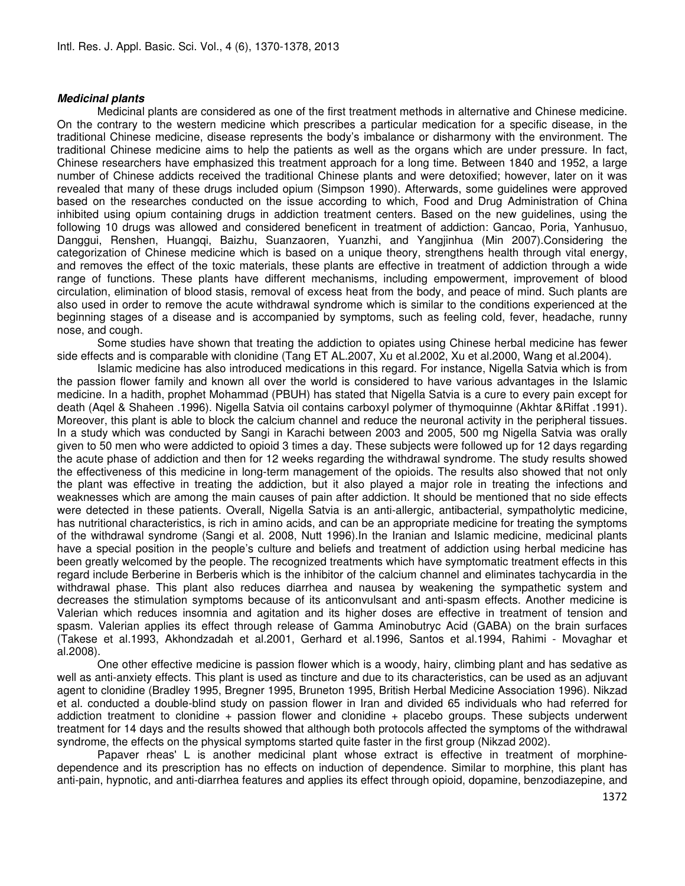#### Medicinal plants

 Medicinal plants are considered as one of the first treatment methods in alternative and Chinese medicine. On the contrary to the western medicine which prescribes a particular medication for a specific disease, in the traditional Chinese medicine, disease represents the body's imbalance or disharmony with the environment. The traditional Chinese medicine aims to help the patients as well as the organs which are under pressure. In fact, Chinese researchers have emphasized this treatment approach for a long time. Between 1840 and 1952, a large number of Chinese addicts received the traditional Chinese plants and were detoxified; however, later on it was revealed that many of these drugs included opium (Simpson 1990). Afterwards, some guidelines were approved based on the researches conducted on the issue according to which, Food and Drug Administration of China inhibited using opium containing drugs in addiction treatment centers. Based on the new guidelines, using the following 10 drugs was allowed and considered beneficent in treatment of addiction: Gancao, Poria, Yanhusuo, Danggui, Renshen, Huangqi, Baizhu, Suanzaoren, Yuanzhi, and Yangjinhua (Min 2007).Considering the categorization of Chinese medicine which is based on a unique theory, strengthens health through vital energy, and removes the effect of the toxic materials, these plants are effective in treatment of addiction through a wide range of functions. These plants have different mechanisms, including empowerment, improvement of blood circulation, elimination of blood stasis, removal of excess heat from the body, and peace of mind. Such plants are also used in order to remove the acute withdrawal syndrome which is similar to the conditions experienced at the beginning stages of a disease and is accompanied by symptoms, such as feeling cold, fever, headache, runny nose, and cough.

 Some studies have shown that treating the addiction to opiates using Chinese herbal medicine has fewer side effects and is comparable with clonidine (Tang ET AL.2007, Xu et al.2002, Xu et al.2000, Wang et al.2004).

 Islamic medicine has also introduced medications in this regard. For instance, Nigella Satvia which is from the passion flower family and known all over the world is considered to have various advantages in the Islamic medicine. In a hadith, prophet Mohammad (PBUH) has stated that Nigella Satvia is a cure to every pain except for death (Aqel & Shaheen .1996). Nigella Satvia oil contains carboxyl polymer of thymoquinne (Akhtar &Riffat .1991). Moreover, this plant is able to block the calcium channel and reduce the neuronal activity in the peripheral tissues. In a study which was conducted by Sangi in Karachi between 2003 and 2005, 500 mg Nigella Satvia was orally given to 50 men who were addicted to opioid 3 times a day. These subjects were followed up for 12 days regarding the acute phase of addiction and then for 12 weeks regarding the withdrawal syndrome. The study results showed the effectiveness of this medicine in long-term management of the opioids. The results also showed that not only the plant was effective in treating the addiction, but it also played a major role in treating the infections and weaknesses which are among the main causes of pain after addiction. It should be mentioned that no side effects were detected in these patients. Overall, Nigella Satvia is an anti-allergic, antibacterial, sympatholytic medicine, has nutritional characteristics, is rich in amino acids, and can be an appropriate medicine for treating the symptoms of the withdrawal syndrome (Sangi et al. 2008, Nutt 1996).In the Iranian and Islamic medicine, medicinal plants have a special position in the people's culture and beliefs and treatment of addiction using herbal medicine has been greatly welcomed by the people. The recognized treatments which have symptomatic treatment effects in this regard include Berberine in Berberis which is the inhibitor of the calcium channel and eliminates tachycardia in the withdrawal phase. This plant also reduces diarrhea and nausea by weakening the sympathetic system and decreases the stimulation symptoms because of its anticonvulsant and anti-spasm effects. Another medicine is Valerian which reduces insomnia and agitation and its higher doses are effective in treatment of tension and spasm. Valerian applies its effect through release of Gamma Aminobutryc Acid (GABA) on the brain surfaces (Takese et al.1993, Akhondzadah et al.2001, Gerhard et al.1996, Santos et al.1994, Rahimi - Movaghar et al.2008).

 One other effective medicine is passion flower which is a woody, hairy, climbing plant and has sedative as well as anti-anxiety effects. This plant is used as tincture and due to its characteristics, can be used as an adjuvant agent to clonidine (Bradley 1995, Bregner 1995, Bruneton 1995, British Herbal Medicine Association 1996). Nikzad et al. conducted a double-blind study on passion flower in Iran and divided 65 individuals who had referred for addiction treatment to clonidine + passion flower and clonidine + placebo groups. These subjects underwent treatment for 14 days and the results showed that although both protocols affected the symptoms of the withdrawal syndrome, the effects on the physical symptoms started quite faster in the first group (Nikzad 2002).

 Papaver rheas' L is another medicinal plant whose extract is effective in treatment of morphinedependence and its prescription has no effects on induction of dependence. Similar to morphine, this plant has anti-pain, hypnotic, and anti-diarrhea features and applies its effect through opioid, dopamine, benzodiazepine, and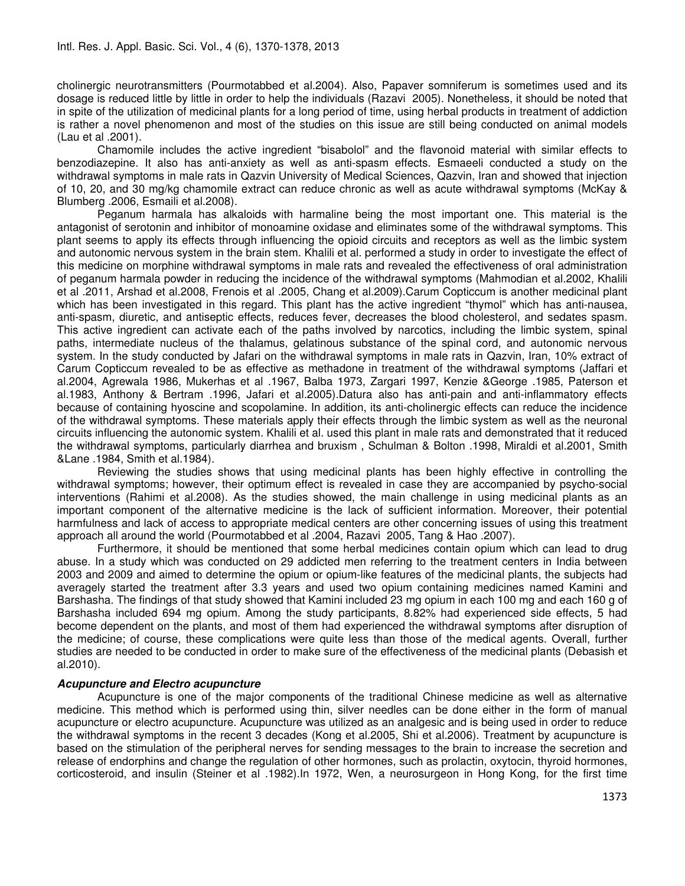cholinergic neurotransmitters (Pourmotabbed et al.2004). Also, Papaver somniferum is sometimes used and its dosage is reduced little by little in order to help the individuals (Razavi 2005). Nonetheless, it should be noted that in spite of the utilization of medicinal plants for a long period of time, using herbal products in treatment of addiction is rather a novel phenomenon and most of the studies on this issue are still being conducted on animal models (Lau et al .2001).

 Chamomile includes the active ingredient "bisabolol" and the flavonoid material with similar effects to benzodiazepine. It also has anti-anxiety as well as anti-spasm effects. Esmaeeli conducted a study on the withdrawal symptoms in male rats in Qazvin University of Medical Sciences, Qazvin, Iran and showed that injection of 10, 20, and 30 mg/kg chamomile extract can reduce chronic as well as acute withdrawal symptoms (McKay & Blumberg .2006, Esmaili et al.2008).

 Peganum harmala has alkaloids with harmaline being the most important one. This material is the antagonist of serotonin and inhibitor of monoamine oxidase and eliminates some of the withdrawal symptoms. This plant seems to apply its effects through influencing the opioid circuits and receptors as well as the limbic system and autonomic nervous system in the brain stem. Khalili et al. performed a study in order to investigate the effect of this medicine on morphine withdrawal symptoms in male rats and revealed the effectiveness of oral administration of peganum harmala powder in reducing the incidence of the withdrawal symptoms (Mahmodian et al.2002, Khalili et al .2011, Arshad et al.2008, Frenois et al .2005, Chang et al.2009).Carum Copticcum is another medicinal plant which has been investigated in this regard. This plant has the active ingredient "thymol" which has anti-nausea, anti-spasm, diuretic, and antiseptic effects, reduces fever, decreases the blood cholesterol, and sedates spasm. This active ingredient can activate each of the paths involved by narcotics, including the limbic system, spinal paths, intermediate nucleus of the thalamus, gelatinous substance of the spinal cord, and autonomic nervous system. In the study conducted by Jafari on the withdrawal symptoms in male rats in Qazvin, Iran, 10% extract of Carum Copticcum revealed to be as effective as methadone in treatment of the withdrawal symptoms (Jaffari et al.2004, Agrewala 1986, Mukerhas et al .1967, Balba 1973, Zargari 1997, Kenzie &George .1985, Paterson et al.1983, Anthony & Bertram .1996, Jafari et al.2005).Datura also has anti-pain and anti-inflammatory effects because of containing hyoscine and scopolamine. In addition, its anti-cholinergic effects can reduce the incidence of the withdrawal symptoms. These materials apply their effects through the limbic system as well as the neuronal circuits influencing the autonomic system. Khalili et al. used this plant in male rats and demonstrated that it reduced the withdrawal symptoms, particularly diarrhea and bruxism , Schulman & Bolton .1998, Miraldi et al.2001, Smith &Lane .1984, Smith et al.1984).

 Reviewing the studies shows that using medicinal plants has been highly effective in controlling the withdrawal symptoms; however, their optimum effect is revealed in case they are accompanied by psycho-social interventions (Rahimi et al.2008). As the studies showed, the main challenge in using medicinal plants as an important component of the alternative medicine is the lack of sufficient information. Moreover, their potential harmfulness and lack of access to appropriate medical centers are other concerning issues of using this treatment approach all around the world (Pourmotabbed et al .2004, Razavi 2005, Tang & Hao .2007).

 Furthermore, it should be mentioned that some herbal medicines contain opium which can lead to drug abuse. In a study which was conducted on 29 addicted men referring to the treatment centers in India between 2003 and 2009 and aimed to determine the opium or opium-like features of the medicinal plants, the subjects had averagely started the treatment after 3.3 years and used two opium containing medicines named Kamini and Barshasha. The findings of that study showed that Kamini included 23 mg opium in each 100 mg and each 160 g of Barshasha included 694 mg opium. Among the study participants, 8.82% had experienced side effects, 5 had become dependent on the plants, and most of them had experienced the withdrawal symptoms after disruption of the medicine; of course, these complications were quite less than those of the medical agents. Overall, further studies are needed to be conducted in order to make sure of the effectiveness of the medicinal plants (Debasish et al.2010).

#### Acupuncture and Electro acupuncture

 Acupuncture is one of the major components of the traditional Chinese medicine as well as alternative medicine. This method which is performed using thin, silver needles can be done either in the form of manual acupuncture or electro acupuncture. Acupuncture was utilized as an analgesic and is being used in order to reduce the withdrawal symptoms in the recent 3 decades (Kong et al.2005, Shi et al.2006). Treatment by acupuncture is based on the stimulation of the peripheral nerves for sending messages to the brain to increase the secretion and release of endorphins and change the regulation of other hormones, such as prolactin, oxytocin, thyroid hormones, corticosteroid, and insulin (Steiner et al .1982).In 1972, Wen, a neurosurgeon in Hong Kong, for the first time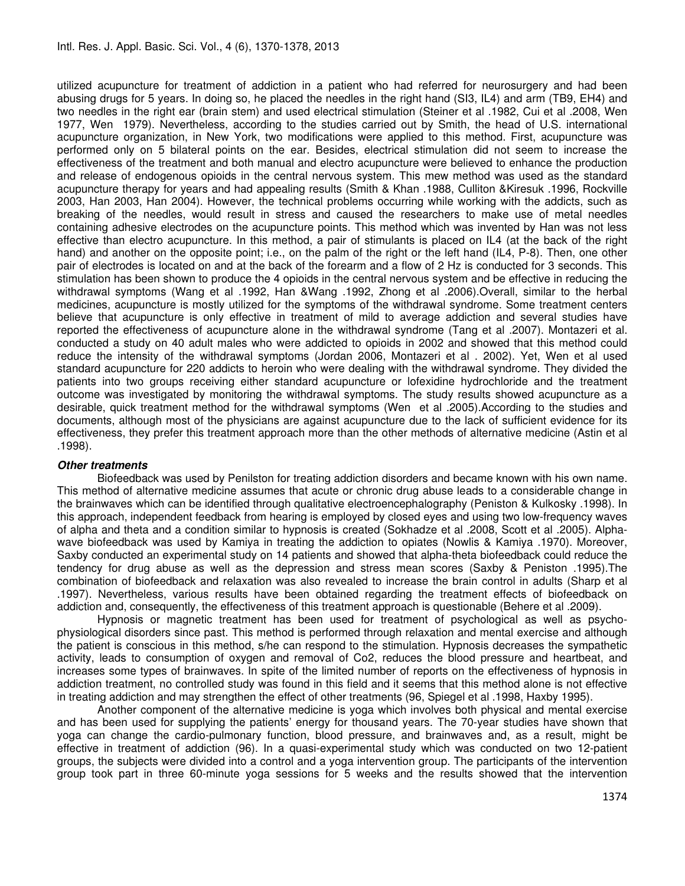utilized acupuncture for treatment of addiction in a patient who had referred for neurosurgery and had been abusing drugs for 5 years. In doing so, he placed the needles in the right hand (SI3, IL4) and arm (TB9, EH4) and two needles in the right ear (brain stem) and used electrical stimulation (Steiner et al .1982, Cui et al .2008, Wen 1977, Wen 1979). Nevertheless, according to the studies carried out by Smith, the head of U.S. international acupuncture organization, in New York, two modifications were applied to this method. First, acupuncture was performed only on 5 bilateral points on the ear. Besides, electrical stimulation did not seem to increase the effectiveness of the treatment and both manual and electro acupuncture were believed to enhance the production and release of endogenous opioids in the central nervous system. This mew method was used as the standard acupuncture therapy for years and had appealing results (Smith & Khan .1988, Culliton &Kiresuk .1996, Rockville 2003, Han 2003, Han 2004). However, the technical problems occurring while working with the addicts, such as breaking of the needles, would result in stress and caused the researchers to make use of metal needles containing adhesive electrodes on the acupuncture points. This method which was invented by Han was not less effective than electro acupuncture. In this method, a pair of stimulants is placed on IL4 (at the back of the right hand) and another on the opposite point; i.e., on the palm of the right or the left hand (IL4, P-8). Then, one other pair of electrodes is located on and at the back of the forearm and a flow of 2 Hz is conducted for 3 seconds. This stimulation has been shown to produce the 4 opioids in the central nervous system and be effective in reducing the withdrawal symptoms (Wang et al .1992, Han &Wang .1992, Zhong et al .2006).Overall, similar to the herbal medicines, acupuncture is mostly utilized for the symptoms of the withdrawal syndrome. Some treatment centers believe that acupuncture is only effective in treatment of mild to average addiction and several studies have reported the effectiveness of acupuncture alone in the withdrawal syndrome (Tang et al .2007). Montazeri et al. conducted a study on 40 adult males who were addicted to opioids in 2002 and showed that this method could reduce the intensity of the withdrawal symptoms (Jordan 2006, Montazeri et al . 2002). Yet, Wen et al used standard acupuncture for 220 addicts to heroin who were dealing with the withdrawal syndrome. They divided the patients into two groups receiving either standard acupuncture or lofexidine hydrochloride and the treatment outcome was investigated by monitoring the withdrawal symptoms. The study results showed acupuncture as a desirable, quick treatment method for the withdrawal symptoms (Wen et al .2005).According to the studies and documents, although most of the physicians are against acupuncture due to the lack of sufficient evidence for its effectiveness, they prefer this treatment approach more than the other methods of alternative medicine (Astin et al .1998).

#### Other treatments

Biofeedback was used by Penilston for treating addiction disorders and became known with his own name. This method of alternative medicine assumes that acute or chronic drug abuse leads to a considerable change in the brainwaves which can be identified through qualitative electroencephalography (Peniston & Kulkosky .1998). In this approach, independent feedback from hearing is employed by closed eyes and using two low-frequency waves of alpha and theta and a condition similar to hypnosis is created (Sokhadze et al .2008, Scott et al .2005). Alphawave biofeedback was used by Kamiya in treating the addiction to opiates (Nowlis & Kamiya .1970). Moreover, Saxby conducted an experimental study on 14 patients and showed that alpha-theta biofeedback could reduce the tendency for drug abuse as well as the depression and stress mean scores (Saxby & Peniston .1995).The combination of biofeedback and relaxation was also revealed to increase the brain control in adults (Sharp et al .1997). Nevertheless, various results have been obtained regarding the treatment effects of biofeedback on addiction and, consequently, the effectiveness of this treatment approach is questionable (Behere et al .2009).

 Hypnosis or magnetic treatment has been used for treatment of psychological as well as psychophysiological disorders since past. This method is performed through relaxation and mental exercise and although the patient is conscious in this method, s/he can respond to the stimulation. Hypnosis decreases the sympathetic activity, leads to consumption of oxygen and removal of Co2, reduces the blood pressure and heartbeat, and increases some types of brainwaves. In spite of the limited number of reports on the effectiveness of hypnosis in addiction treatment, no controlled study was found in this field and it seems that this method alone is not effective in treating addiction and may strengthen the effect of other treatments (96, Spiegel et al .1998, Haxby 1995).

 Another component of the alternative medicine is yoga which involves both physical and mental exercise and has been used for supplying the patients' energy for thousand years. The 70-year studies have shown that yoga can change the cardio-pulmonary function, blood pressure, and brainwaves and, as a result, might be effective in treatment of addiction (96). In a quasi-experimental study which was conducted on two 12-patient groups, the subjects were divided into a control and a yoga intervention group. The participants of the intervention group took part in three 60-minute yoga sessions for 5 weeks and the results showed that the intervention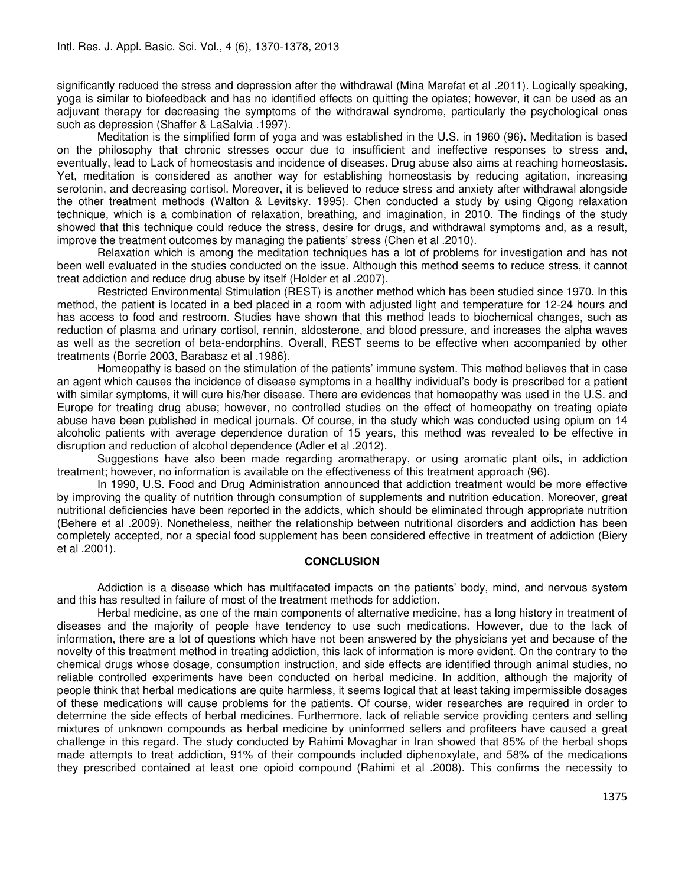significantly reduced the stress and depression after the withdrawal (Mina Marefat et al .2011). Logically speaking, yoga is similar to biofeedback and has no identified effects on quitting the opiates; however, it can be used as an adjuvant therapy for decreasing the symptoms of the withdrawal syndrome, particularly the psychological ones such as depression (Shaffer & LaSalvia .1997).

 Meditation is the simplified form of yoga and was established in the U.S. in 1960 (96). Meditation is based on the philosophy that chronic stresses occur due to insufficient and ineffective responses to stress and, eventually, lead to Lack of homeostasis and incidence of diseases. Drug abuse also aims at reaching homeostasis. Yet, meditation is considered as another way for establishing homeostasis by reducing agitation, increasing serotonin, and decreasing cortisol. Moreover, it is believed to reduce stress and anxiety after withdrawal alongside the other treatment methods (Walton & Levitsky. 1995). Chen conducted a study by using Qigong relaxation technique, which is a combination of relaxation, breathing, and imagination, in 2010. The findings of the study showed that this technique could reduce the stress, desire for drugs, and withdrawal symptoms and, as a result, improve the treatment outcomes by managing the patients' stress (Chen et al .2010).

 Relaxation which is among the meditation techniques has a lot of problems for investigation and has not been well evaluated in the studies conducted on the issue. Although this method seems to reduce stress, it cannot treat addiction and reduce drug abuse by itself (Holder et al .2007).

 Restricted Environmental Stimulation (REST) is another method which has been studied since 1970. In this method, the patient is located in a bed placed in a room with adjusted light and temperature for 12-24 hours and has access to food and restroom. Studies have shown that this method leads to biochemical changes, such as reduction of plasma and urinary cortisol, rennin, aldosterone, and blood pressure, and increases the alpha waves as well as the secretion of beta-endorphins. Overall, REST seems to be effective when accompanied by other treatments (Borrie 2003, Barabasz et al .1986).

 Homeopathy is based on the stimulation of the patients' immune system. This method believes that in case an agent which causes the incidence of disease symptoms in a healthy individual's body is prescribed for a patient with similar symptoms, it will cure his/her disease. There are evidences that homeopathy was used in the U.S. and Europe for treating drug abuse; however, no controlled studies on the effect of homeopathy on treating opiate abuse have been published in medical journals. Of course, in the study which was conducted using opium on 14 alcoholic patients with average dependence duration of 15 years, this method was revealed to be effective in disruption and reduction of alcohol dependence (Adler et al .2012).

 Suggestions have also been made regarding aromatherapy, or using aromatic plant oils, in addiction treatment; however, no information is available on the effectiveness of this treatment approach (96).

 In 1990, U.S. Food and Drug Administration announced that addiction treatment would be more effective by improving the quality of nutrition through consumption of supplements and nutrition education. Moreover, great nutritional deficiencies have been reported in the addicts, which should be eliminated through appropriate nutrition (Behere et al .2009). Nonetheless, neither the relationship between nutritional disorders and addiction has been completely accepted, nor a special food supplement has been considered effective in treatment of addiction (Biery et al .2001).

#### **CONCLUSION**

 Addiction is a disease which has multifaceted impacts on the patients' body, mind, and nervous system and this has resulted in failure of most of the treatment methods for addiction.

 Herbal medicine, as one of the main components of alternative medicine, has a long history in treatment of diseases and the majority of people have tendency to use such medications. However, due to the lack of information, there are a lot of questions which have not been answered by the physicians yet and because of the novelty of this treatment method in treating addiction, this lack of information is more evident. On the contrary to the chemical drugs whose dosage, consumption instruction, and side effects are identified through animal studies, no reliable controlled experiments have been conducted on herbal medicine. In addition, although the majority of people think that herbal medications are quite harmless, it seems logical that at least taking impermissible dosages of these medications will cause problems for the patients. Of course, wider researches are required in order to determine the side effects of herbal medicines. Furthermore, lack of reliable service providing centers and selling mixtures of unknown compounds as herbal medicine by uninformed sellers and profiteers have caused a great challenge in this regard. The study conducted by Rahimi Movaghar in Iran showed that 85% of the herbal shops made attempts to treat addiction, 91% of their compounds included diphenoxylate, and 58% of the medications they prescribed contained at least one opioid compound (Rahimi et al .2008). This confirms the necessity to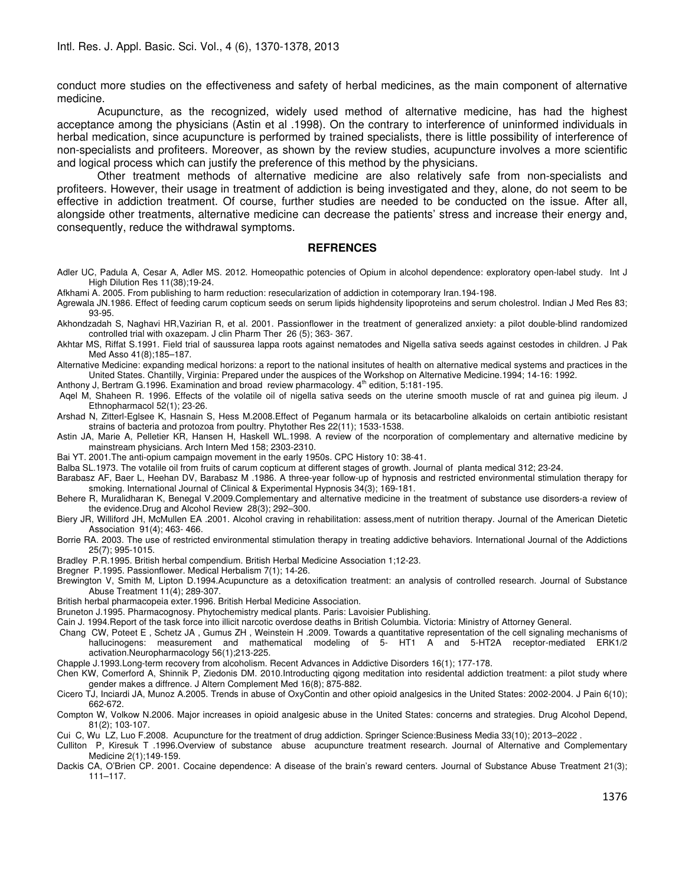conduct more studies on the effectiveness and safety of herbal medicines, as the main component of alternative medicine.

 Acupuncture, as the recognized, widely used method of alternative medicine, has had the highest acceptance among the physicians (Astin et al .1998). On the contrary to interference of uninformed individuals in herbal medication, since acupuncture is performed by trained specialists, there is little possibility of interference of non-specialists and profiteers. Moreover, as shown by the review studies, acupuncture involves a more scientific and logical process which can justify the preference of this method by the physicians.

 Other treatment methods of alternative medicine are also relatively safe from non-specialists and profiteers. However, their usage in treatment of addiction is being investigated and they, alone, do not seem to be effective in addiction treatment. Of course, further studies are needed to be conducted on the issue. After all, alongside other treatments, alternative medicine can decrease the patients' stress and increase their energy and, consequently, reduce the withdrawal symptoms.

#### **REFRENCES**

Adler UC, Padula A, Cesar A, Adler MS. 2012. Homeopathic potencies of Opium in alcohol dependence: exploratory open-label study. Int J High Dilution Res 11(38);19-24.

Afkhami A. 2005. From publishing to harm reduction: resecularization of addiction in cotemporary Iran.194-198.

Agrewala JN.1986. Effect of feeding carum copticum seeds on serum lipids highdensity lipoproteins and serum cholestrol. Indian J Med Res 83; 93-95.

Akhondzadah S, Naghavi HR,Vazirian R, et al. 2001. Passionflower in the treatment of generalized anxiety: a pilot double-blind randomized controlled trial with oxazepam. J clin Pharm Ther 26 (5); 363- 367.

- Akhtar MS, Riffat S.1991. Field trial of saussurea lappa roots against nematodes and Nigella sativa seeds against cestodes in children. J Pak Med Asso 41(8);185–187.
- Alternative Medicine: expanding medical horizons: a report to the national insitutes of health on alternative medical systems and practices in the United States. Chantilly, Virginia: Prepared under the auspices of the Workshop on Alternative Medicine.1994; 14-16: 1992.

Anthony J, Bertram G.1996. Examination and broad review pharmacology. 4<sup>th</sup> edition, 5:181-195.

 Aqel M, Shaheen R. 1996. Effects of the volatile oil of nigella sativa seeds on the uterine smooth muscle of rat and guinea pig ileum. J Ethnopharmacol 52(1); 23-26.

- Arshad N, Zitterl-Eglsee K, Hasnain S, Hess M.2008.Effect of Peganum harmala or its betacarboline alkaloids on certain antibiotic resistant strains of bacteria and protozoa from poultry. Phytother Res 22(11); 1533-1538.
- Astin JA, Marie A, Pelletier KR, Hansen H, Haskell WL.1998. A review of the ncorporation of complementary and alternative medicine by mainstream physicians. Arch Intern Med 158; 2303-2310.

Bai YT. 2001.The anti-opium campaign movement in the early 1950s. CPC History 10: 38-41.

- Balba SL.1973. The votalile oil from fruits of carum copticum at different stages of growth. Journal of planta medical 312; 23-24.
- Barabasz AF, Baer L, Heehan DV, Barabasz M .1986. A three-year follow-up of hypnosis and restricted environmental stimulation therapy for smoking. International Journal of Clinical & Experimental Hypnosis 34(3); 169-181.
- Behere R, Muralidharan K, Benegal V.2009.Complementary and alternative medicine in the treatment of substance use disorders-a review of the evidence.Drug and Alcohol Review 28(3); 292–300.
- Biery JR, Williford JH, McMullen EA .2001. Alcohol craving in rehabilitation: assess,ment of nutrition therapy. Journal of the American Dietetic Association 91(4); 463- 466.
- Borrie RA. 2003. The use of restricted environmental stimulation therapy in treating addictive behaviors. International Journal of the Addictions 25(7); 995-1015.
- Bradley P.R.1995. British herbal compendium. British Herbal Medicine Association 1;12-23.
- Bregner P.1995. Passionflower. Medical Herbalism 7(1); 14-26.
- Brewington V, Smith M, Lipton D.1994.Acupuncture as a detoxification treatment: an analysis of controlled research. Journal of Substance Abuse Treatment 11(4); 289-307.
- British herbal pharmacopeia exter.1996. British Herbal Medicine Association.
- Bruneton J.1995. Pharmacognosy. Phytochemistry medical plants. Paris: Lavoisier Publishing.
- Cain J. 1994.Report of the task force into illicit narcotic overdose deaths in British Columbia. Victoria: Ministry of Attorney General.

 Chang CW, Poteet E , Schetz JA , Gumus ZH , Weinstein H .2009. Towards a quantitative representation of the cell signaling mechanisms of hallucinogens: measurement and mathematical modeling of 5- HT1 A and 5-HT2A receptor-mediated ERK1/2 activation.Neuropharmacology 56(1);213-225.

Chapple J.1993.Long-term recovery from alcoholism. Recent Advances in Addictive Disorders 16(1); 177-178.

Chen KW, Comerford A, Shinnik P, Ziedonis DM. 2010.Introducting qigong meditation into residental addiction treatment: a pilot study where gender makes a diffrence. J Altern Complement Med 16(8); 875-882.

Cicero TJ, Inciardi JA, Munoz A.2005. Trends in abuse of OxyContin and other opioid analgesics in the United States: 2002-2004. J Pain 6(10); 662-672.

Compton W, Volkow N.2006. Major increases in opioid analgesic abuse in the United States: concerns and strategies. Drug Alcohol Depend, 81(2); 103-107.

Cui C, Wu LZ, Luo F.2008. Acupuncture for the treatment of drug addiction. Springer Science:Business Media 33(10); 2013–2022 .

Culliton P, Kiresuk T .1996.Overview of substance abuse acupuncture treatment research. Journal of Alternative and Complementary Medicine 2(1);149-159.

Dackis CA, O'Brien CP. 2001. Cocaine dependence: A disease of the brain's reward centers. Journal of Substance Abuse Treatment 21(3); 111–117.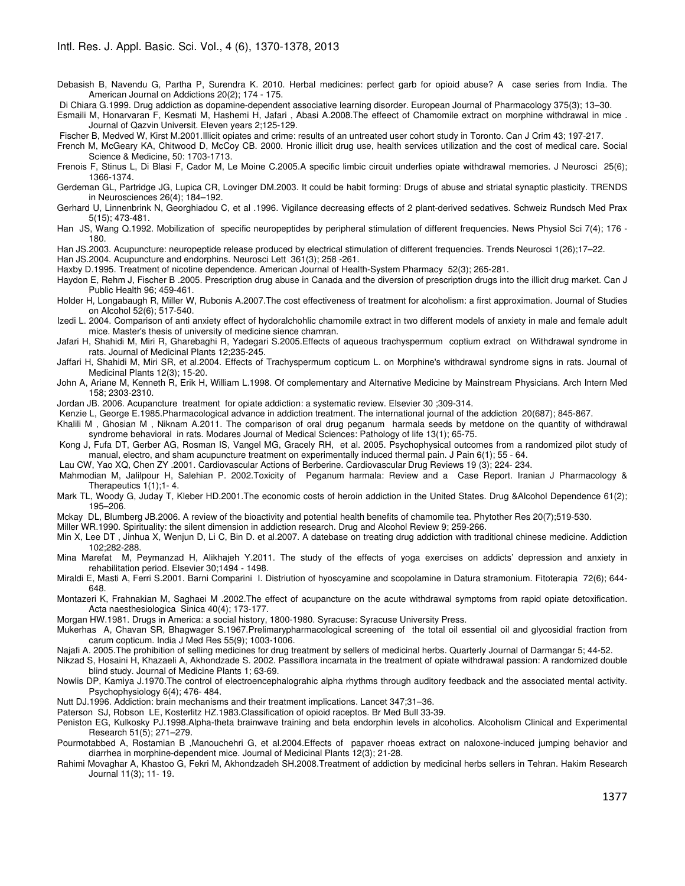- Debasish B, Navendu G, Partha P, Surendra K. 2010. Herbal medicines: perfect garb for opioid abuse? A case series from India. The American Journal on Addictions 20(2); 174 - 175.
- Di Chiara G.1999. Drug addiction as dopamine-dependent associative learning disorder. European Journal of Pharmacology 375(3); 13–30.

Esmaili M, Honarvaran F, Kesmati M, Hashemi H, Jafari , Abasi A.2008.The effeect of Chamomile extract on morphine withdrawal in mice . Journal of Qazvin Universit. Eleven years 2;125-129.

Fischer B, Medved W, Kirst M.2001.Illicit opiates and crime: results of an untreated user cohort study in Toronto. Can J Crim 43; 197-217.

French M, McGeary KA, Chitwood D, McCoy CB. 2000. Hronic illicit drug use, health services utilization and the cost of medical care. Social Science & Medicine, 50: 1703-1713.

Frenois F, Stinus L, Di Blasi F, Cador M, Le Moine C.2005.A specific limbic circuit underlies opiate withdrawal memories. J Neurosci 25(6); 1366-1374.

Gerdeman GL, Partridge JG, Lupica CR, Lovinger DM.2003. It could be habit forming: Drugs of abuse and striatal synaptic plasticity. TRENDS in Neurosciences 26(4); 184–192.

Gerhard U, Linnenbrink N, Georghiadou C, et al .1996. Vigilance decreasing effects of 2 plant-derived sedatives. Schweiz Rundsch Med Prax 5(15); 473-481.

Han JS, Wang Q.1992. Mobilization of specific neuropeptides by peripheral stimulation of different frequencies. News Physiol Sci 7(4); 176 - 180.

Han JS.2003. Acupuncture: neuropeptide release produced by electrical stimulation of different frequencies. Trends Neurosci 1(26);17–22.

Han JS.2004. Acupuncture and endorphins. Neurosci Lett 361(3); 258 -261.

Haxby D.1995. Treatment of nicotine dependence. American Journal of Health-System Pharmacy 52(3); 265-281.

Haydon E, Rehm J, Fischer B .2005. Prescription drug abuse in Canada and the diversion of prescription drugs into the illicit drug market. Can J Public Health 96; 459-461.

Holder H, Longabaugh R, Miller W, Rubonis A.2007.The cost effectiveness of treatment for alcoholism: a first approximation. Journal of Studies on Alcohol 52(6); 517-540.

Izedi L. 2004. Comparison of anti anxiety effect of hydoralchohlic chamomile extract in two different models of anxiety in male and female adult mice. Master's thesis of university of medicine sience chamran.

- Jafari H, Shahidi M, Miri R, Gharebaghi R, Yadegari S.2005.Effects of aqueous trachyspermum coptium extract on Withdrawal syndrome in rats. Journal of Medicinal Plants 12;235-245.
- Jaffari H, Shahidi M, Miri SR, et al.2004. Effects of Trachyspermum copticum L. on Morphine's withdrawal syndrome signs in rats. Journal of Medicinal Plants 12(3); 15-20.

John A, Ariane M, Kenneth R, Erik H, William L.1998. Of complementary and Alternative Medicine by Mainstream Physicians. Arch Intern Med 158; 2303-2310.

Jordan JB. 2006. Acupancture treatment for opiate addiction: a systematic review. Elsevier 30 ;309-314.

Kenzie L, George E.1985.Pharmacological advance in addiction treatment. The international journal of the addiction 20(687); 845-867.

Khalili M , Ghosian M , Niknam A.2011. The comparison of oral drug peganum harmala seeds by metdone on the quantity of withdrawal syndrome behavioral in rats. Modares Journal of Medical Sciences: Pathology of life 13(1); 65-75.

 Kong J, Fufa DT, Gerber AG, Rosman IS, Vangel MG, Gracely RH, et al. 2005. Psychophysical outcomes from a randomized pilot study of manual, electro, and sham acupuncture treatment on experimentally induced thermal pain. J Pain 6(1); 55 - 64.

Lau CW, Yao XQ, Chen ZY .2001. Cardiovascular Actions of Berberine. Cardiovascular Drug Reviews 19 (3); 224- 234.

 Mahmodian M, Jalilpour H, Salehian P. 2002.Toxicity of Peganum harmala: Review and a Case Report. Iranian J Pharmacology & Therapeutics 1(1);1- 4.

Mark TL, Woody G, Juday T, Kleber HD.2001.The economic costs of heroin addiction in the United States. Drug &Alcohol Dependence 61(2); 195–206.

Mckay DL, Blumberg JB.2006. A review of the bioactivity and potential health benefits of chamomile tea. Phytother Res 20(7);519-530.

Miller WR.1990. Spirituality: the silent dimension in addiction research. Drug and Alcohol Review 9; 259-266.

Min X, Lee DT , Jinhua X, Wenjun D, Li C, Bin D. et al.2007. A datebase on treating drug addiction with traditional chinese medicine. Addiction 102;282-288.

Mina Marefat M, Peymanzad H, Alikhajeh Y.2011. The study of the effects of yoga exercises on addicts' depression and anxiety in rehabilitation period. Elsevier 30;1494 - 1498.

Miraldi E, Masti A, Ferri S.2001. Barni Comparini I. Distriution of hyoscyamine and scopolamine in Datura stramonium. Fitoterapia 72(6); 644- 648.

Montazeri K, Frahnakian M, Saghaei M .2002.The effect of acupancture on the acute withdrawal symptoms from rapid opiate detoxification. Acta naesthesiologica Sinica 40(4); 173-177.

Morgan HW.1981. Drugs in America: a social history, 1800-1980. Syracuse: Syracuse University Press.

Mukerhas A, Chavan SR, Bhagwager S.1967.Prelimarypharmacological screening of the total oil essential oil and glycosidial fraction from carum copticum. India J Med Res 55(9); 1003-1006.

Najafi A. 2005.The prohibition of selling medicines for drug treatment by sellers of medicinal herbs. Quarterly Journal of Darmangar 5; 44-52.

Nikzad S, Hosaini H, Khazaeli A, Akhondzade S. 2002. Passiflora incarnata in the treatment of opiate withdrawal passion: A randomized double blind study. Journal of Medicine Plants 1; 63-69.

Nowlis DP, Kamiya J.1970.The control of electroencephalograhic alpha rhythms through auditory feedback and the associated mental activity. Psychophysiology 6(4); 476- 484.

Nutt DJ.1996. Addiction: brain mechanisms and their treatment implications. Lancet 347;31–36.

Paterson SJ, Robson LE, Kosterlitz HZ.1983.Classification of opioid raceptos. Br Med Bull 33-39.

Peniston EG, Kulkosky PJ.1998.Alpha-theta brainwave training and beta endorphin levels in alcoholics. Alcoholism Clinical and Experimental Research 51(5); 271–279.

Pourmotabbed A, Rostamian B ,Manouchehri G, et al.2004.Effects of papaver rhoeas extract on naloxone-induced jumping behavior and diarrhea in morphine-dependent mice. Journal of Medicinal Plants 12(3); 21-28.

Rahimi Movaghar A, Khastoo G, Fekri M, Akhondzadeh SH.2008.Treatment of addiction by medicinal herbs sellers in Tehran. Hakim Research Journal 11(3); 11- 19.